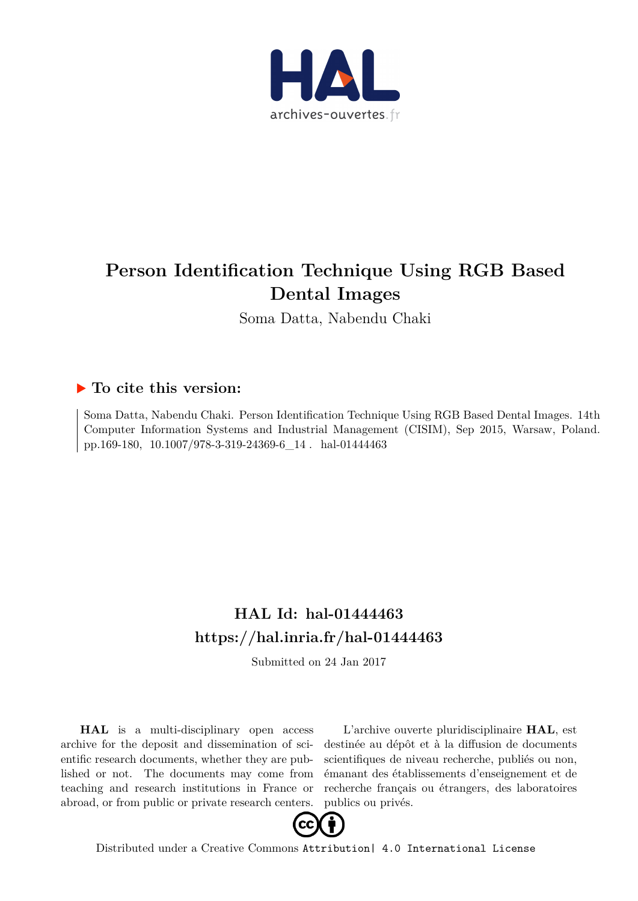

# **Person Identification Technique Using RGB Based Dental Images**

Soma Datta, Nabendu Chaki

# **To cite this version:**

Soma Datta, Nabendu Chaki. Person Identification Technique Using RGB Based Dental Images. 14th Computer Information Systems and Industrial Management (CISIM), Sep 2015, Warsaw, Poland. pp.169-180,  $10.1007/978-3-319-24369-6\_14$ . hal-01444463

# **HAL Id: hal-01444463 <https://hal.inria.fr/hal-01444463>**

Submitted on 24 Jan 2017

**HAL** is a multi-disciplinary open access archive for the deposit and dissemination of scientific research documents, whether they are published or not. The documents may come from teaching and research institutions in France or abroad, or from public or private research centers.

L'archive ouverte pluridisciplinaire **HAL**, est destinée au dépôt et à la diffusion de documents scientifiques de niveau recherche, publiés ou non, émanant des établissements d'enseignement et de recherche français ou étrangers, des laboratoires publics ou privés.



Distributed under a Creative Commons [Attribution| 4.0 International License](http://creativecommons.org/licenses/by/4.0/)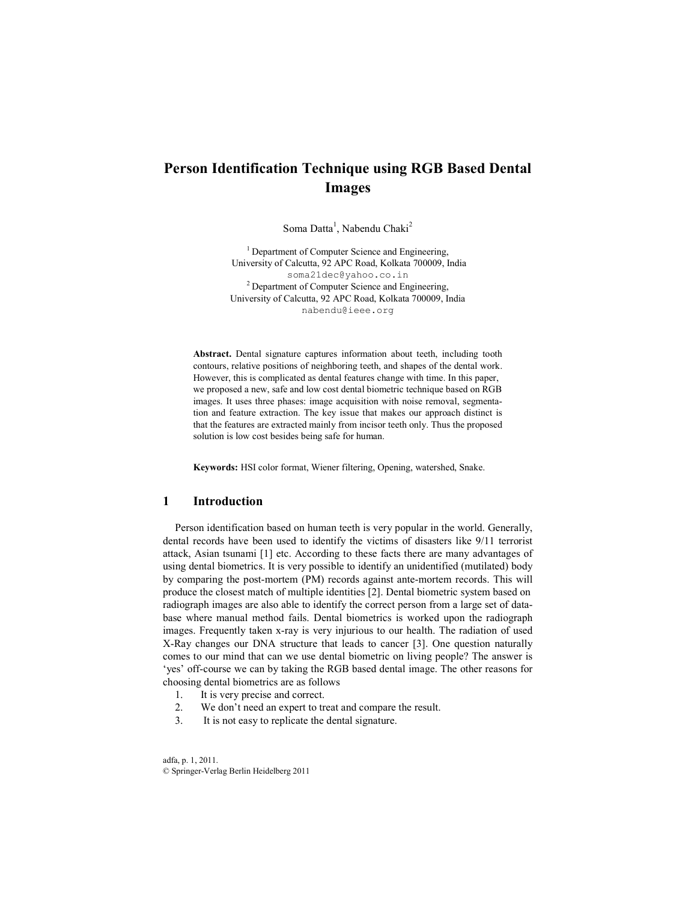## **Person Identification Technique using RGB Based Dental Images**

Soma Datta<sup>1</sup>, Nabendu Chaki<sup>2</sup>

<sup>1</sup> Department of Computer Science and Engineering, University of Calcutta, 92 APC Road, Kolkata 700009, India soma21dec@yahoo.co.in <sup>2</sup> Department of Computer Science and Engineering, University of Calcutta, 92 APC Road, Kolkata 700009, India nabendu@ieee.org

**Abstract.** Dental signature captures information about teeth, including tooth contours, relative positions of neighboring teeth, and shapes of the dental work. However, this is complicated as dental features change with time. In this paper, we proposed a new, safe and low cost dental biometric technique based on RGB images. It uses three phases: image acquisition with noise removal, segmentation and feature extraction. The key issue that makes our approach distinct is that the features are extracted mainly from incisor teeth only. Thus the proposed solution is low cost besides being safe for human.

**Keywords:** HSI color format, Wiener filtering, Opening, watershed, Snake.

#### **1 Introduction**

Person identification based on human teeth is very popular in the world. Generally, dental records have been used to identify the victims of disasters like 9/11 terrorist attack, Asian tsunami [1] etc. According to these facts there are many advantages of using dental biometrics. It is very possible to identify an unidentified (mutilated) body by comparing the post-mortem (PM) records against ante-mortem records. This will produce the closest match of multiple identities [2]. Dental biometric system based on radiograph images are also able to identify the correct person from a large set of database where manual method fails. Dental biometrics is worked upon the radiograph images. Frequently taken x-ray is very injurious to our health. The radiation of used X-Ray changes our DNA structure that leads to cancer [3]. One question naturally comes to our mind that can we use dental biometric on living people? The answer is 'yes' off-course we can by taking the RGB based dental image. The other reasons for choosing dental biometrics are as follows

- 1. It is very precise and correct.<br>2. We don't need an expert to tr
- We don't need an expert to treat and compare the result.
- 3. It is not easy to replicate the dental signature.

adfa, p. 1, 2011. © Springer-Verlag Berlin Heidelberg 2011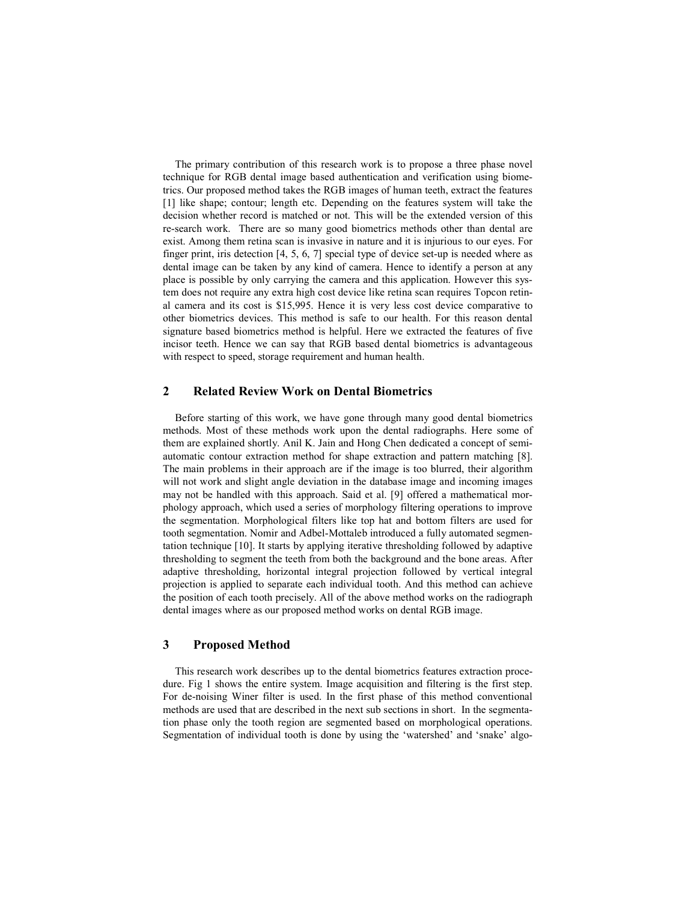The primary contribution of this research work is to propose a three phase novel technique for RGB dental image based authentication and verification using biometrics. Our proposed method takes the RGB images of human teeth, extract the features [1] like shape; contour; length etc. Depending on the features system will take the decision whether record is matched or not. This will be the extended version of this re-search work. There are so many good biometrics methods other than dental are exist. Among them retina scan is invasive in nature and it is injurious to our eyes. For finger print, iris detection [4, 5, 6, 7] special type of device set-up is needed where as dental image can be taken by any kind of camera. Hence to identify a person at any place is possible by only carrying the camera and this application. However this system does not require any extra high cost device like retina scan requires Topcon retinal camera and its cost is \$15,995. Hence it is very less cost device comparative to other biometrics devices. This method is safe to our health. For this reason dental signature based biometrics method is helpful. Here we extracted the features of five incisor teeth. Hence we can say that RGB based dental biometrics is advantageous with respect to speed, storage requirement and human health.

### **2 Related Review Work on Dental Biometrics**

Before starting of this work, we have gone through many good dental biometrics methods. Most of these methods work upon the dental radiographs. Here some of them are explained shortly. Anil K. Jain and Hong Chen dedicated a concept of semiautomatic contour extraction method for shape extraction and pattern matching [8]. The main problems in their approach are if the image is too blurred, their algorithm will not work and slight angle deviation in the database image and incoming images may not be handled with this approach. Said et al. [9] offered a mathematical morphology approach, which used a series of morphology filtering operations to improve the segmentation. Morphological filters like top hat and bottom filters are used for tooth segmentation. Nomir and Adbel-Mottaleb introduced a fully automated segmentation technique [10]. It starts by applying iterative thresholding followed by adaptive thresholding to segment the teeth from both the background and the bone areas. After adaptive thresholding, horizontal integral projection followed by vertical integral projection is applied to separate each individual tooth. And this method can achieve the position of each tooth precisely. All of the above method works on the radiograph dental images where as our proposed method works on dental RGB image.

## **3 Proposed Method**

This research work describes up to the dental biometrics features extraction procedure. Fig 1 shows the entire system. Image acquisition and filtering is the first step. For de-noising Winer filter is used. In the first phase of this method conventional methods are used that are described in the next sub sections in short. In the segmentation phase only the tooth region are segmented based on morphological operations. Segmentation of individual tooth is done by using the 'watershed' and 'snake' algo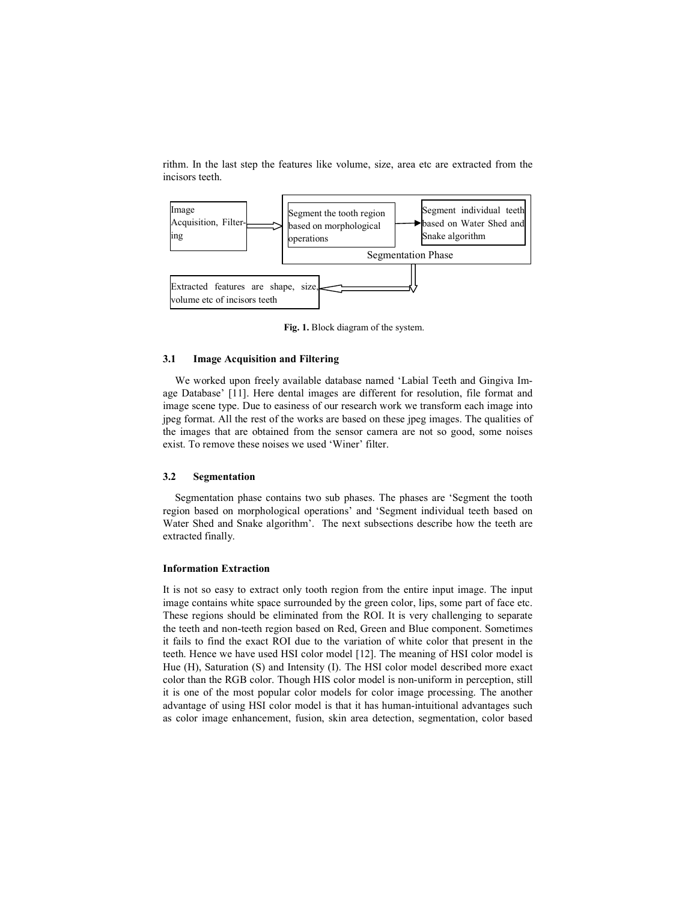rithm. In the last step the features like volume, size, area etc are extracted from the incisors teeth.



**Fig. 1.** Block diagram of the system.

#### **3.1 Image Acquisition and Filtering**

We worked upon freely available database named 'Labial Teeth and Gingiva Image Database' [11]. Here dental images are different for resolution, file format and image scene type. Due to easiness of our research work we transform each image into jpeg format. All the rest of the works are based on these jpeg images. The qualities of the images that are obtained from the sensor camera are not so good, some noises exist. To remove these noises we used 'Winer' filter.

#### **3.2 Segmentation**

Segmentation phase contains two sub phases. The phases are 'Segment the tooth region based on morphological operations' and 'Segment individual teeth based on Water Shed and Snake algorithm'. The next subsections describe how the teeth are extracted finally.

#### **Information Extraction**

It is not so easy to extract only tooth region from the entire input image. The input image contains white space surrounded by the green color, lips, some part of face etc. These regions should be eliminated from the ROI. It is very challenging to separate the teeth and non-teeth region based on Red, Green and Blue component. Sometimes it fails to find the exact ROI due to the variation of white color that present in the teeth. Hence we have used HSI color model [12]. The meaning of HSI color model is Hue (H), Saturation (S) and Intensity (I). The HSI color model described more exact color than the RGB color. Though HIS color model is non-uniform in perception, still it is one of the most popular color models for color image processing. The another advantage of using HSI color model is that it has human-intuitional advantages such as color image enhancement, fusion, skin area detection, segmentation, color based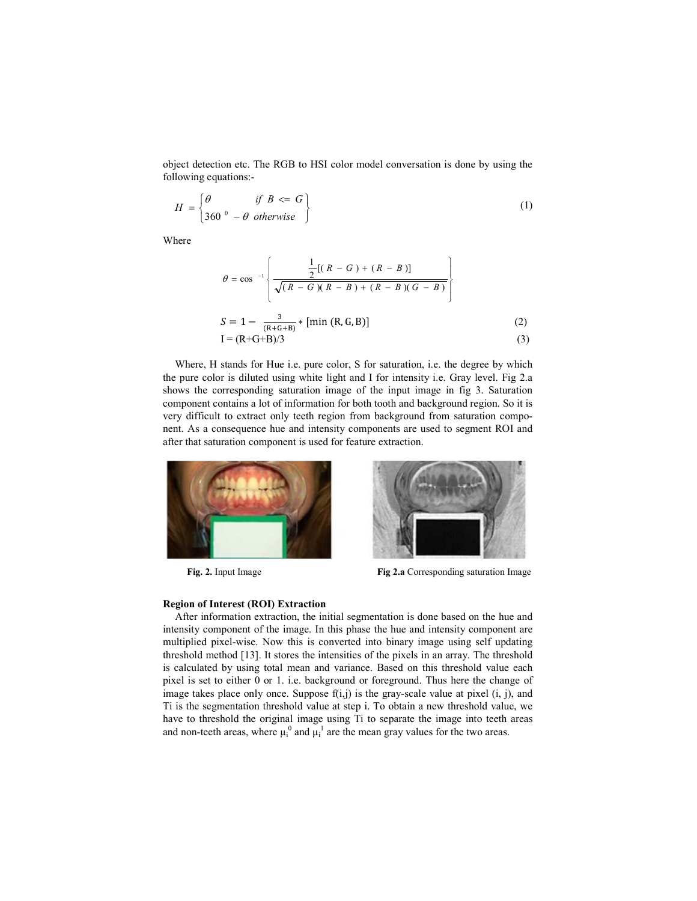object detection etc. The RGB to HSI color model conversation is done by using the following equations:-

$$
H = \begin{cases} \theta & \text{if } B \leq G \\ 360^{\circ} - \theta & \text{otherwise} \end{cases}
$$
 (1)

Where

$$
\theta = \cos^{-1} \left\{ \frac{\frac{1}{2}[(R - G) + (R - B)]}{\sqrt{(R - G)(R - B) + (R - B)(G - B)}} \right\}
$$
  

$$
S = 1 - \frac{3}{(R + G + B)} * [\min (R, G, B)] \tag{2}
$$

$$
I = (R + G + B)/3 \tag{3}
$$

Where, H stands for Hue i.e. pure color, S for saturation, i.e. the degree by which the pure color is diluted using white light and I for intensity i.e. Gray level. Fig 2.a shows the corresponding saturation image of the input image in fig 3. Saturation component contains a lot of information for both tooth and background region. So it is very difficult to extract only teeth region from background from saturation component. As a consequence hue and intensity components are used to segment ROI and after that saturation component is used for feature extraction.





**Fig. 2.** Input Image **Fig 2.a** Corresponding saturation Image

## **Region of Interest (ROI) Extraction**

After information extraction, the initial segmentation is done based on the hue and intensity component of the image. In this phase the hue and intensity component are multiplied pixel-wise. Now this is converted into binary image using self updating threshold method [13]. It stores the intensities of the pixels in an array. The threshold is calculated by using total mean and variance. Based on this threshold value each pixel is set to either 0 or 1. i.e. background or foreground. Thus here the change of image takes place only once. Suppose  $f(i,j)$  is the gray-scale value at pixel  $(i, j)$ , and Ti is the segmentation threshold value at step i. To obtain a new threshold value, we have to threshold the original image using Ti to separate the image into teeth areas and non-teeth areas, where  $\mu_i^0$  and  $\mu_i^1$  are the mean gray values for the two areas.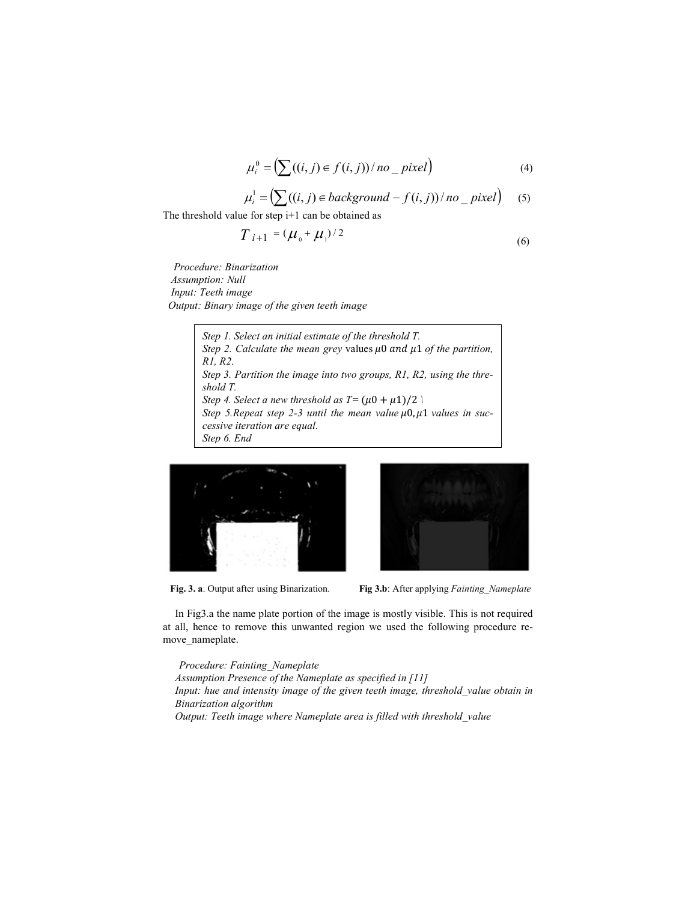$$
\mu_i^0 = \left(\sum((i,j) \in f(i,j)) / n_0\right) \quad \text{(4)}
$$

$$
\mu_i^1 = \left(\sum ((i, j) \in background - f(i, j)) / no \_{pixel}\right) \tag{5}
$$

The threshold value for step i+1 can be obtained as

$$
T_{i+1} = (\mu_0 + \mu_1)/2 \tag{6}
$$

 *Procedure: Binarization Assumption: Null Input: Teeth image Output: Binary image of the given teeth image* 

> *Step 1. Select an initial estimate of the threshold T. Step 2. Calculate the mean grey values*  $\mu$ *0 and*  $\mu$ *1 of the partition, R1, R2. Step 3. Partition the image into two groups, R1, R2, using the threshold T. Step 4. Select a new threshold as T* =  $(\mu 0 + \mu 1)/2$  \ Step 5. Repeat step 2-3 until the mean value  $\mu$ 0,  $\mu$ 1 values in suc*cessive iteration are equal. Step 6. End*





 **Fig. 3. a**. Output after using Binarization. **Fig 3.b**: After applying *Fainting\_Nameplate* 

In Fig3.a the name plate portion of the image is mostly visible. This is not required at all, hence to remove this unwanted region we used the following procedure remove\_nameplate.

 *Procedure: Fainting\_Nameplate Assumption Presence of the Nameplate as specified in [11] Input: hue and intensity image of the given teeth image, threshold\_value obtain in Binarization algorithm Output: Teeth image where Nameplate area is filled with threshold\_value*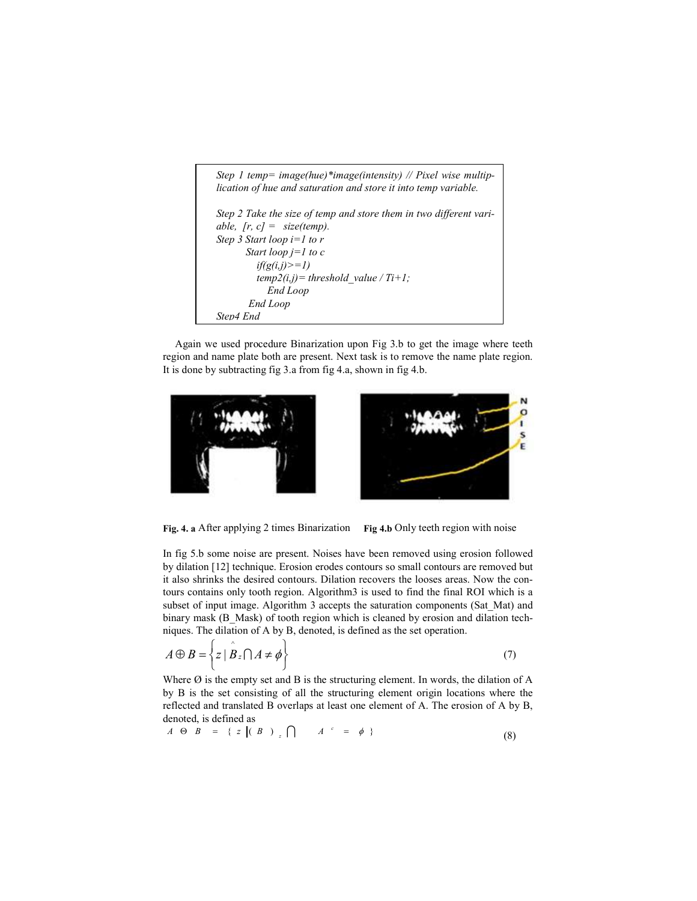```
Step 1 temp= image(hue)*image(intensity) // Pixel wise multip-
lication of hue and saturation and store it into temp variable. 
Step 2 Take the size of temp and store them in two different vari-
able, [r, c] = size(temp).
Step 3 Start loop i=1 to r 
       Start loop j=1 to c 
          if(g(i,j)>=1) 
         temp2(i,j) = threshold value / Ti+1;
             End Loop 
        End Loop 
Step4 End
```
Again we used procedure Binarization upon Fig 3.b to get the image where teeth region and name plate both are present. Next task is to remove the name plate region. It is done by subtracting fig 3.a from fig 4.a, shown in fig 4.b.





**Fig. 4. a** After applying 2 times Binarization **Fig 4.b** Only teeth region with noise

In fig 5.b some noise are present. Noises have been removed using erosion followed by dilation [12] technique. Erosion erodes contours so small contours are removed but it also shrinks the desired contours. Dilation recovers the looses areas. Now the contours contains only tooth region. Algorithm3 is used to find the final ROI which is a subset of input image. Algorithm 3 accepts the saturation components (Sat\_Mat) and binary mask (B\_Mask) of tooth region which is cleaned by erosion and dilation techniques. The dilation of A by B, denoted, is defined as the set operation.

$$
A \oplus B = \left\{ z \mid \stackrel{\circ}{B} \square A \neq \phi \right\} \tag{7}
$$

Where  $\emptyset$  is the empty set and B is the structuring element. In words, the dilation of A by B is the set consisting of all the structuring element origin locations where the reflected and translated B overlaps at least one element of A. The erosion of A by B, denoted, is defined as

$$
A \Theta B = \{ z \mid (B) \in \bigcap A \subset = \phi \}
$$
 (8)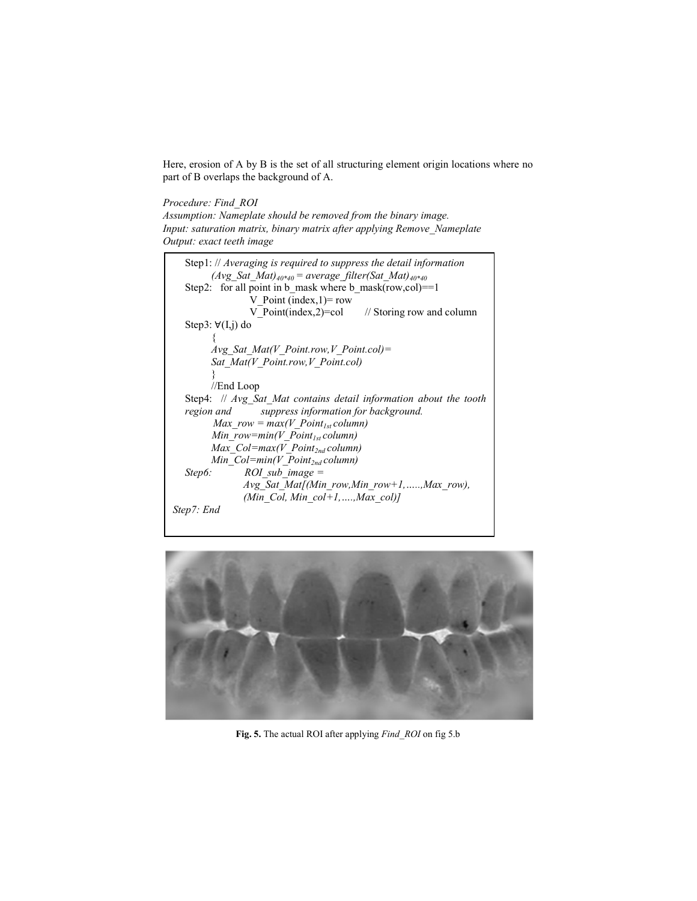Here, erosion of A by B is the set of all structuring element origin locations where no part of B overlaps the background of A.

### *Procedure: Find\_ROI*

*Assumption: Nameplate should be removed from the binary image. Input: saturation matrix, binary matrix after applying Remove\_Nameplate Output: exact teeth image* 

| Step1: // Averaging is required to suppress the detail information<br>$(Avg\ Sat\ Mat)_{40*40}$ = average filter(Sat Mat) <sub>40*40</sub> |  |  |  |  |  |  |  |
|--------------------------------------------------------------------------------------------------------------------------------------------|--|--|--|--|--|--|--|
| Step2: for all point in b mask where b mask(row,col)==1                                                                                    |  |  |  |  |  |  |  |
| V Point (index, $1$ ) = row                                                                                                                |  |  |  |  |  |  |  |
| V Point(index,2)=col $\frac{1}{2}$ // Storing row and column                                                                               |  |  |  |  |  |  |  |
| Step3: $\forall$ (I,j) do                                                                                                                  |  |  |  |  |  |  |  |
|                                                                                                                                            |  |  |  |  |  |  |  |
| Avg Sat Mat(V Point.row, V Point.col)=                                                                                                     |  |  |  |  |  |  |  |
| Sat Mat(V Point row, V Point col)                                                                                                          |  |  |  |  |  |  |  |
|                                                                                                                                            |  |  |  |  |  |  |  |
| //End Loop                                                                                                                                 |  |  |  |  |  |  |  |
| Step4: // Avg Sat Mat contains detail information about the tooth                                                                          |  |  |  |  |  |  |  |
| region and suppress information for background.                                                                                            |  |  |  |  |  |  |  |
| Max $row = max(V$ $Point_{1st} column)$                                                                                                    |  |  |  |  |  |  |  |
| Min row=min(V Point <sub>1st</sub> column)                                                                                                 |  |  |  |  |  |  |  |
| Max $Col = max(V$ Point <sub>2nd</sub> column)                                                                                             |  |  |  |  |  |  |  |
| Min $Col = min(V$ Point <sub>2nd</sub> column)                                                                                             |  |  |  |  |  |  |  |
| ROI sub image $=$<br>Step6:                                                                                                                |  |  |  |  |  |  |  |
| $Avg$ Sat Mat $(Min row, Min row+1, \ldots, Max row)$ ,                                                                                    |  |  |  |  |  |  |  |
| (Min Col, Min $col+1, \ldots, Max \ col)$ )                                                                                                |  |  |  |  |  |  |  |
| Step7: End                                                                                                                                 |  |  |  |  |  |  |  |



**Fig. 5.** The actual ROI after applying *Find\_ROI* on fig 5.b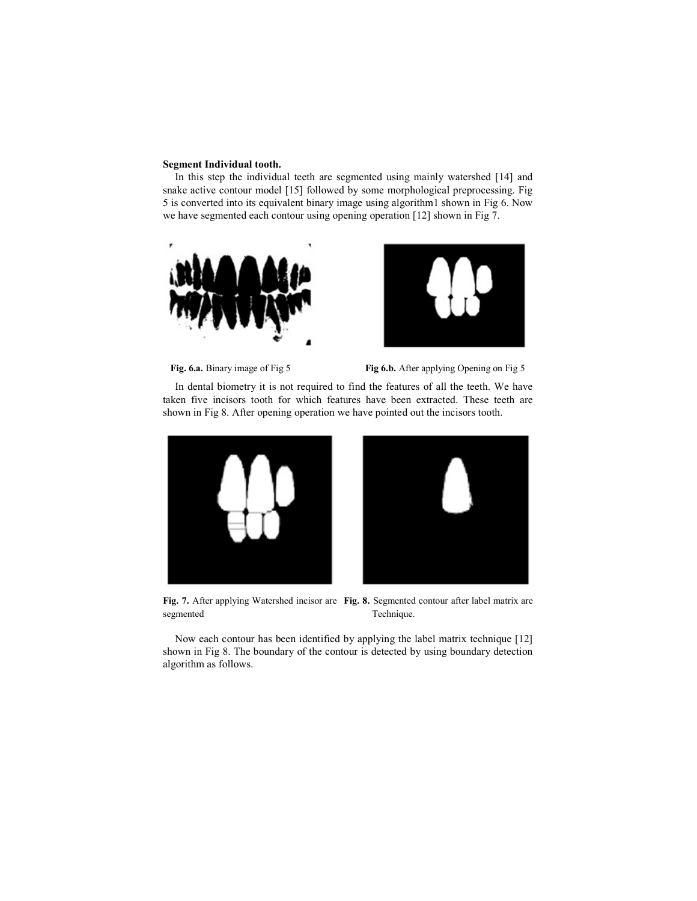#### **Segment Individual tooth.**

In this step the individual teeth are segmented using mainly watershed [14] and snake active contour model [15] followed by some morphological preprocessing. Fig 5 is converted into its equivalent binary image using algorithm1 shown in Fig 6. Now we have segmented each contour using opening operation [12] shown in Fig 7.





Fig. 6.a. Binary image of Fig 5 Fig 6.b. After applying Opening on Fig 5

In dental biometry it is not required to find the features of all the teeth. We have taken five incisors tooth for which features have been extracted. These teeth are shown in Fig 8. After opening operation we have pointed out the incisors tooth.





**Fig. 7.** After applying Watershed incisor are **Fig. 8.** Segmented contour after label matrix are segmented Technique.

Now each contour has been identified by applying the label matrix technique [12] shown in Fig 8. The boundary of the contour is detected by using boundary detection algorithm as follows.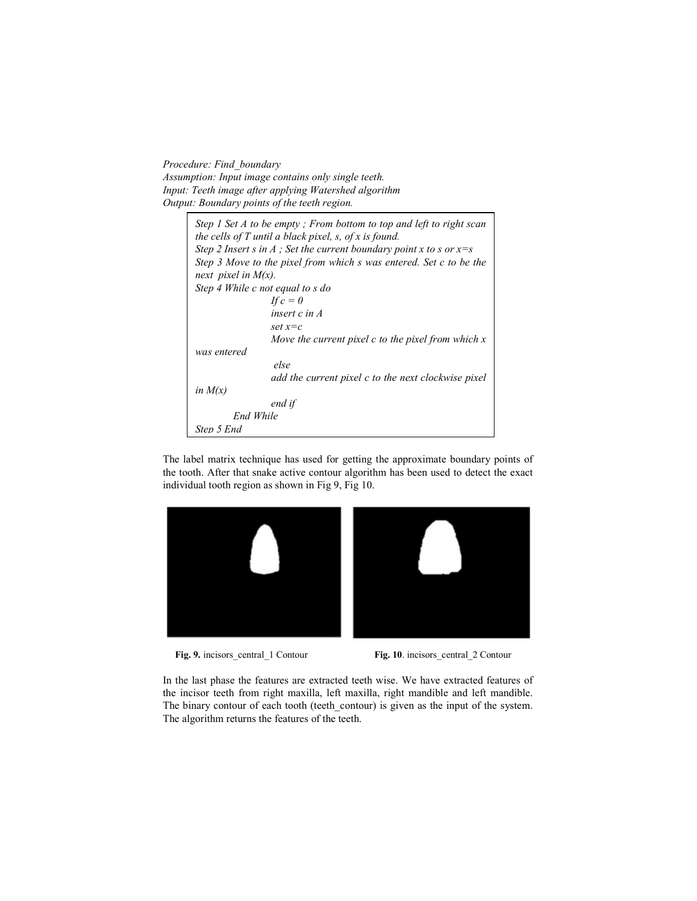*Procedure: Find\_boundary Assumption: Input image contains only single teeth. Input: Teeth image after applying Watershed algorithm Output: Boundary points of the teeth region.* 

 $\Gamma$ 

| Step 1 Set A to be empty; From bottom to top and left to right scan   |
|-----------------------------------------------------------------------|
| the cells of $T$ until a black pixel, $s$ , of $x$ is found.          |
| Step 2 Insert s in A ; Set the current boundary point x to s or $x=s$ |
| Step 3 Move to the pixel from which s was entered. Set c to be the    |
| next pixel in $M(x)$ .                                                |
| Step 4 While c not equal to s do                                      |
| If $c=0$                                                              |
| insert $c$ in $A$                                                     |
| $set x = c$                                                           |
| Move the current pixel $c$ to the pixel from which $x$                |
| was entered                                                           |
| else                                                                  |
| add the current pixel c to the next clockwise pixel                   |
| in $M(x)$                                                             |
| end if                                                                |
| End While                                                             |
| Step 5 End                                                            |

The label matrix technique has used for getting the approximate boundary points of the tooth. After that snake active contour algorithm has been used to detect the exact individual tooth region as shown in Fig 9, Fig 10.



**Fig. 9.** incisors\_central\_1 Contour **Fig. 10**. incisors\_central\_2 Contour

In the last phase the features are extracted teeth wise. We have extracted features of the incisor teeth from right maxilla, left maxilla, right mandible and left mandible. The binary contour of each tooth (teeth\_contour) is given as the input of the system. The algorithm returns the features of the teeth.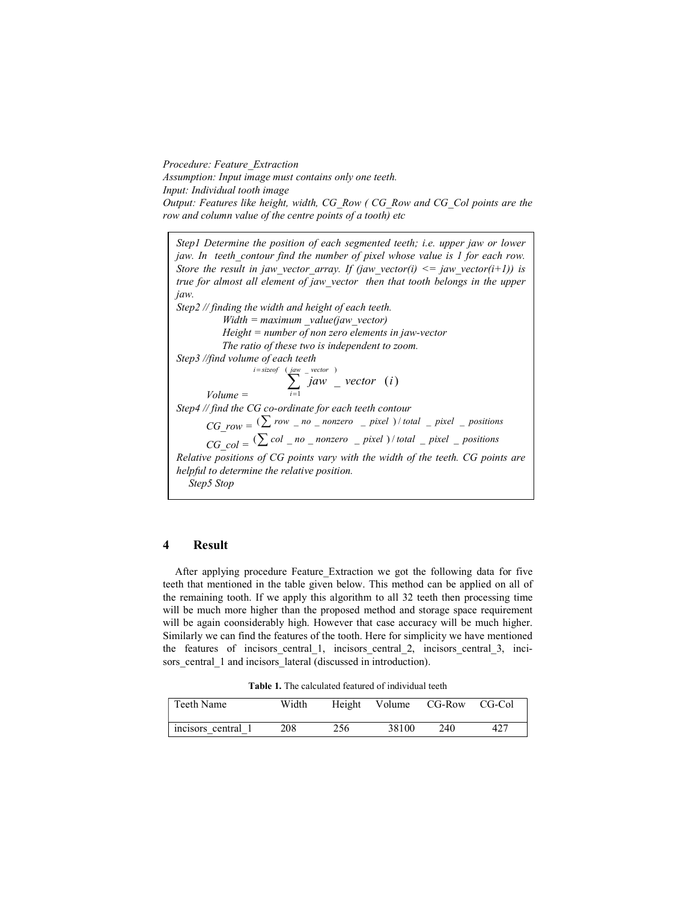*Procedure: Feature\_Extraction Assumption: Input image must contains only one teeth. Input: Individual tooth image Output: Features like height, width, CG\_Row ( CG\_Row and CG\_Col points are the row and column value of the centre points of a tooth) etc* 

*Step1 Determine the position of each segmented teeth; i.e. upper jaw or lower jaw. In teeth\_contour find the number of pixel whose value is 1 for each row. Store the result in jaw\_vector\_array. If (jaw\_vector(i)*  $\leq$  *jaw\_vector(i+1)) is true for almost all element of jaw\_vector then that tooth belongs in the upper jaw. Step2 // finding the width and height of each teeth. Width = maximum \_value(jaw\_vector) Height = number of non zero elements in jaw-vector The ratio of these two is independent to zoom. Step3 //find volume of each teeth Volume =*   $\sum_{i=1}^{e}$  $(jaw = vector)$ 1  $\sum_{j=s:zerof}^{i=s:zerof}$   $\sum_{jaw}^{i-wector}$  *yector*  $(i)$ *i jaw vector i Step4 // find the CG co-ordinate for each teeth contour*   $CG\ row = \frac{(\sum row - no\ \overline{\ }}{nonzero} - pixel\ )/total\ \overline{\ }}{point}$  *pixel* \_ *positions*  $\overline{CG\_col} = \left(\sum_{n=1}^{\infty} col_{n}\right) - \overline{C}$  *nonzero* \_ *pixel* ) / *total* \_ *pixel* \_ *positions Relative positions of CG points vary with the width of the teeth. CG points are helpful to determine the relative position. Step5 Stop* 

#### **4 Result**

After applying procedure Feature\_Extraction we got the following data for five teeth that mentioned in the table given below. This method can be applied on all of the remaining tooth. If we apply this algorithm to all 32 teeth then processing time will be much more higher than the proposed method and storage space requirement will be again coonsiderably high. However that case accuracy will be much higher. Similarly we can find the features of the tooth. Here for simplicity we have mentioned the features of incisors central 1, incisors central 2, incisors central 3, incisors central 1 and incisors lateral (discussed in introduction).

**Table 1.** The calculated featured of individual teeth

| Teeth Name         | Width |     | Height Volume CG-Row CG-Col |     |     |
|--------------------|-------|-----|-----------------------------|-----|-----|
| incisors central 1 | 208   | 256 | 38100                       | 240 | 427 |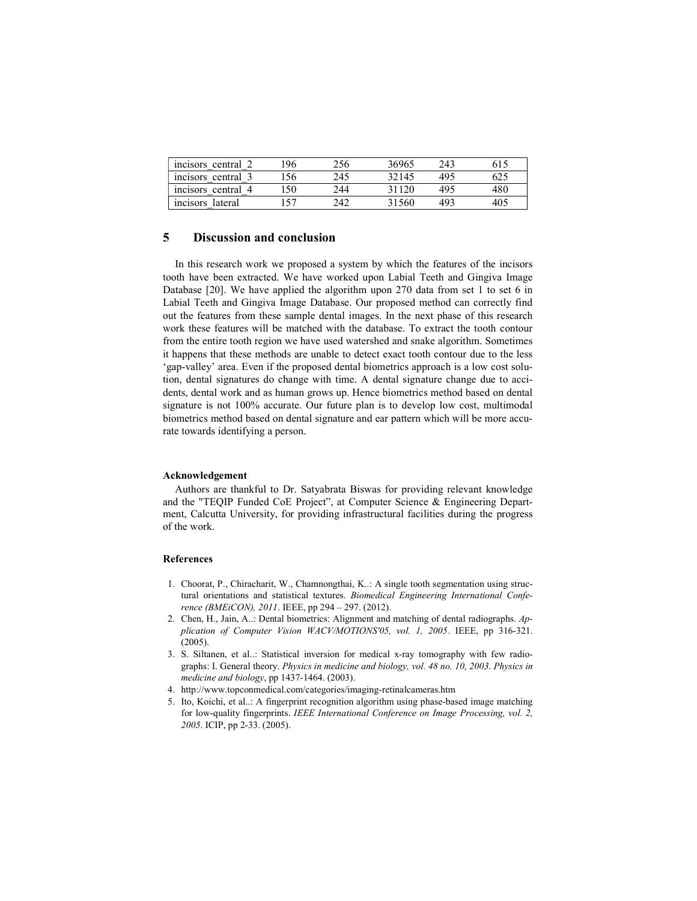| incisors central 2           | 96 | 256 | 36965 | 243 | 615 |
|------------------------------|----|-----|-------|-----|-----|
| $\sim$<br>incisors central 3 | 56 | 245 | 32145 | 495 | 625 |
| incisors central 4           | 50 | 244 | 31120 | 495 | 480 |
| incisors lateral             |    | 242 | 31560 | 493 | 40. |

#### **5 Discussion and conclusion**

In this research work we proposed a system by which the features of the incisors tooth have been extracted. We have worked upon Labial Teeth and Gingiva Image Database [20]. We have applied the algorithm upon 270 data from set 1 to set 6 in Labial Teeth and Gingiva Image Database. Our proposed method can correctly find out the features from these sample dental images. In the next phase of this research work these features will be matched with the database. To extract the tooth contour from the entire tooth region we have used watershed and snake algorithm. Sometimes it happens that these methods are unable to detect exact tooth contour due to the less 'gap-valley' area. Even if the proposed dental biometrics approach is a low cost solution, dental signatures do change with time. A dental signature change due to accidents, dental work and as human grows up. Hence biometrics method based on dental signature is not 100% accurate. Our future plan is to develop low cost, multimodal biometrics method based on dental signature and ear pattern which will be more accurate towards identifying a person.

#### **Acknowledgement**

Authors are thankful to Dr. Satyabrata Biswas for providing relevant knowledge and the "TEQIP Funded CoE Project", at Computer Science & Engineering Department, Calcutta University, for providing infrastructural facilities during the progress of the work.

#### **References**

- 1. Choorat, P., Chiracharit, W., Chamnongthai, K..: A single tooth segmentation using structural orientations and statistical textures. *Biomedical Engineering International Conference (BMEiCON), 2011*. IEEE, pp 294 – 297. (2012).
- 2. Chen, H., Jain, A..: Dental biometrics: Alignment and matching of dental radiographs. *Application of Computer Vision WACV/MOTIONS'05, vol. 1, 2005*. IEEE, pp 316-321.  $(2005)$
- 3. S. Siltanen, et al..: Statistical inversion for medical x-ray tomography with few radiographs: I. General theory. *Physics in medicine and biology, vol. 48 no. 10, 2003*. *Physics in medicine and biology*, pp 1437-1464. (2003).
- 4. http://www.topconmedical.com/categories/imaging-retinalcameras.htm
- 5. Ito, Koichi, et al..: A fingerprint recognition algorithm using phase-based image matching for low-quality fingerprints. *IEEE International Conference on Image Processing, vol. 2, 2005*. ICIP, pp 2-33. (2005).